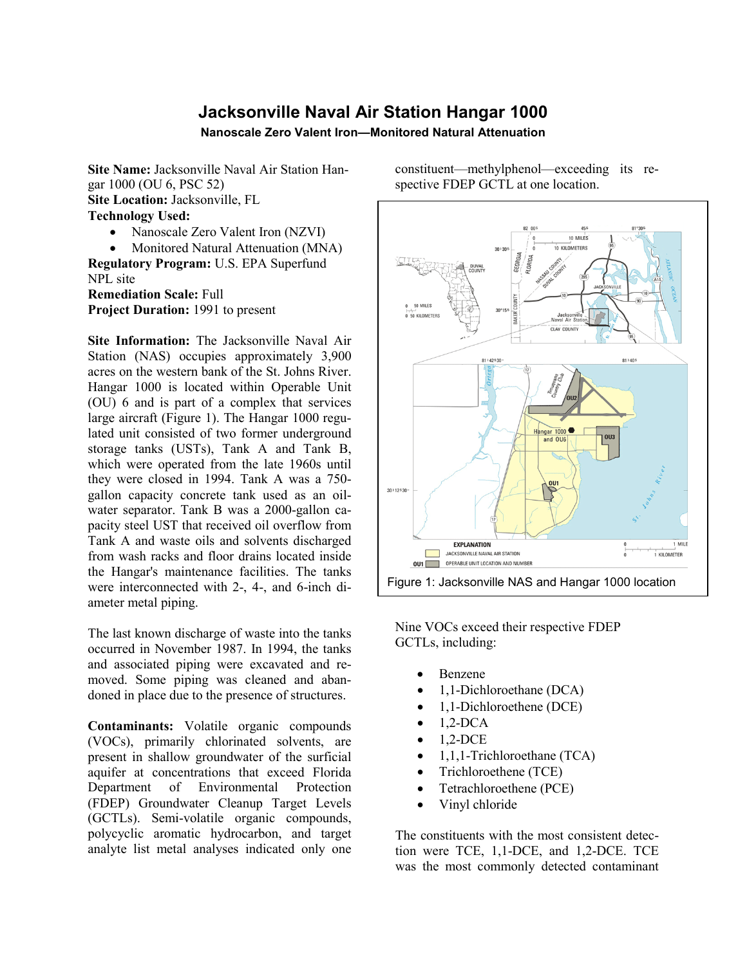## **Jacksonville Naval Air Station Hangar 1000**

**Nanoscale Zero Valent Iron—Monitored Natural Attenuation**

**Site Name:** Jacksonville Naval Air Station Hangar 1000 (OU 6, PSC 52) **Site Location:** Jacksonville, FL **Technology Used:**

• Nanoscale Zero Valent Iron (NZVI)

• Monitored Natural Attenuation (MNA) **Regulatory Program:** U.S. EPA Superfund NPL site **Remediation Scale:** Full **Project Duration:** 1991 to present

**Site Information:** The Jacksonville Naval Air Station (NAS) occupies approximately 3,900 acres on the western bank of the St. Johns River. Hangar 1000 is located within Operable Unit (OU) 6 and is part of a complex that services large aircraft (Figure 1). The Hangar 1000 regulated unit consisted of two former underground storage tanks (USTs), Tank A and Tank B, which were operated from the late 1960s until they were closed in 1994. Tank A was a 750 gallon capacity concrete tank used as an oilwater separator. Tank B was a 2000-gallon capacity steel UST that received oil overflow from Tank A and waste oils and solvents discharged from wash racks and floor drains located inside the Hangar's maintenance facilities. The tanks were interconnected with 2-, 4-, and 6-inch diameter metal piping.

The last known discharge of waste into the tanks occurred in November 1987. In 1994, the tanks and associated piping were excavated and removed. Some piping was cleaned and abandoned in place due to the presence of structures.

**Contaminants:** Volatile organic compounds (VOCs), primarily chlorinated solvents, are present in shallow groundwater of the surficial aquifer at concentrations that exceed Florida Department of Environmental Protection (FDEP) Groundwater Cleanup Target Levels (GCTLs). Semi-volatile organic compounds, polycyclic aromatic hydrocarbon, and target analyte list metal analyses indicated only one

constituent—methylphenol—exceeding its respective FDEP GCTL at one location.



Figure 1: Jacksonville NAS and Hangar 1000 location

Nine VOCs exceed their respective FDEP GCTLs, including:

- Benzene
- 1,1-Dichloroethane (DCA)
- 1,1-Dichloroethene (DCE)
- $\bullet$  1,2-DCA
- $\bullet$  1.2-DCE
- 1,1,1-Trichloroethane (TCA)
- Trichloroethene (TCE)
- Tetrachloroethene (PCE)
- Vinyl chloride

The constituents with the most consistent detection were TCE, 1,1-DCE, and 1,2-DCE. TCE was the most commonly detected contaminant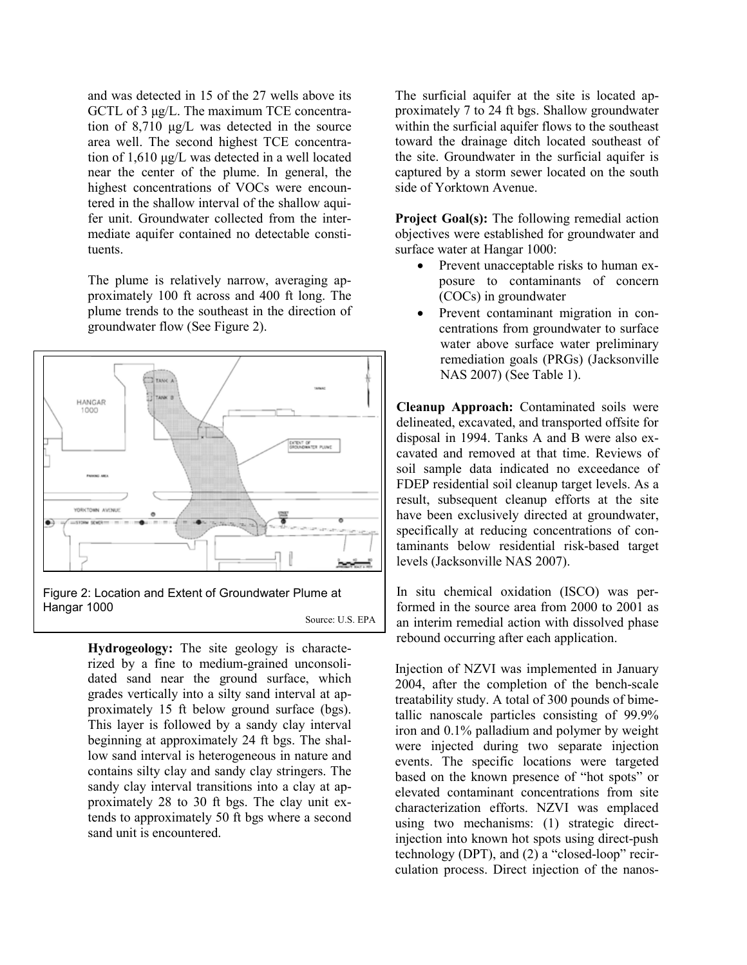and was detected in 15 of the 27 wells above its GCTL of 3 μg/L. The maximum TCE concentration of 8,710 μg/L was detected in the source area well. The second highest TCE concentration of 1,610 μg/L was detected in a well located near the center of the plume. In general, the highest concentrations of VOCs were encountered in the shallow interval of the shallow aquifer unit. Groundwater collected from the intermediate aquifer contained no detectable constituents.

The plume is relatively narrow, averaging approximately 100 ft across and 400 ft long. The plume trends to the southeast in the direction of groundwater flow (See Figure 2).



Source: U.S. EPA

**Hydrogeology:** The site geology is characterized by a fine to medium-grained unconsolidated sand near the ground surface, which grades vertically into a silty sand interval at approximately 15 ft below ground surface (bgs). This layer is followed by a sandy clay interval beginning at approximately 24 ft bgs. The shallow sand interval is heterogeneous in nature and contains silty clay and sandy clay stringers. The sandy clay interval transitions into a clay at approximately 28 to 30 ft bgs. The clay unit extends to approximately 50 ft bgs where a second sand unit is encountered.

The surficial aquifer at the site is located approximately 7 to 24 ft bgs. Shallow groundwater within the surficial aquifer flows to the southeast toward the drainage ditch located southeast of the site. Groundwater in the surficial aquifer is captured by a storm sewer located on the south side of Yorktown Avenue.

**Project Goal(s):** The following remedial action objectives were established for groundwater and surface water at Hangar 1000:

- Prevent unacceptable risks to human exposure to contaminants of concern (COCs) in groundwater
- Prevent contaminant migration in concentrations from groundwater to surface water above surface water preliminary remediation goals (PRGs) (Jacksonville NAS 2007) (See Table 1).

**Cleanup Approach:** Contaminated soils were delineated, excavated, and transported offsite for disposal in 1994. Tanks A and B were also excavated and removed at that time. Reviews of soil sample data indicated no exceedance of FDEP residential soil cleanup target levels. As a result, subsequent cleanup efforts at the site have been exclusively directed at groundwater, specifically at reducing concentrations of contaminants below residential risk-based target levels (Jacksonville NAS 2007).

In situ chemical oxidation (ISCO) was performed in the source area from 2000 to 2001 as an interim remedial action with dissolved phase rebound occurring after each application.

Injection of NZVI was implemented in January 2004, after the completion of the bench-scale treatability study. A total of 300 pounds of bimetallic nanoscale particles consisting of 99.9% iron and 0.1% palladium and polymer by weight were injected during two separate injection events. The specific locations were targeted based on the known presence of "hot spots" or elevated contaminant concentrations from site characterization efforts. NZVI was emplaced using two mechanisms: (1) strategic directinjection into known hot spots using direct-push technology (DPT), and (2) a "closed-loop" recirculation process. Direct injection of the nanos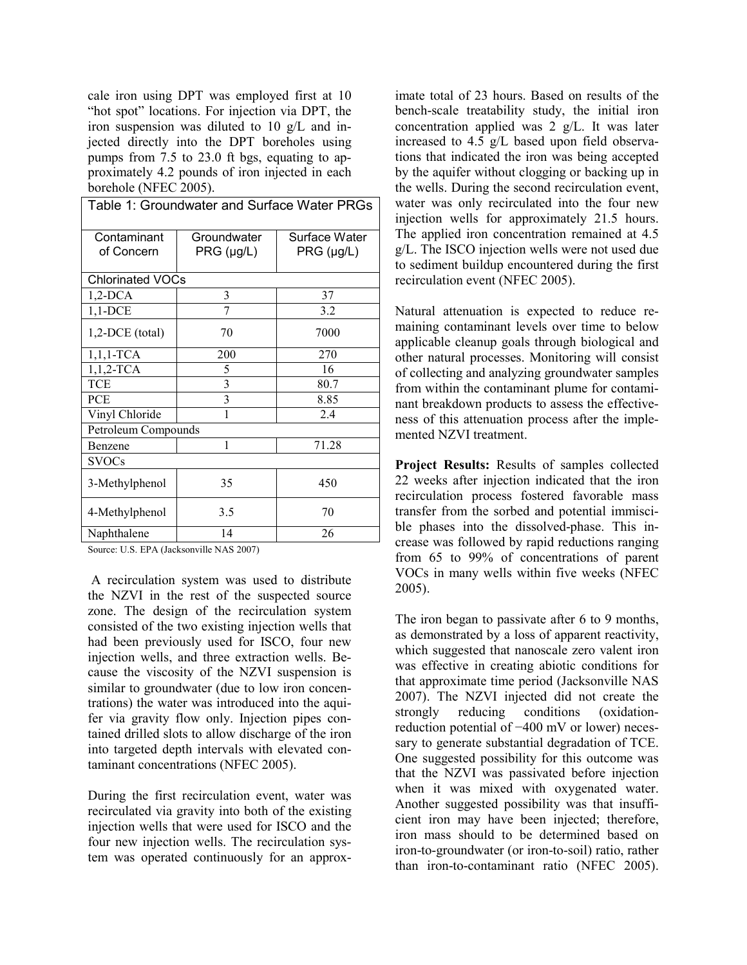cale iron using DPT was employed first at 10 "hot spot" locations. For injection via DPT, the iron suspension was diluted to 10 g/L and injected directly into the DPT boreholes using pumps from 7.5 to 23.0 ft bgs, equating to approximately 4.2 pounds of iron injected in each borehole (NFEC 2005).

| Table 1: Groundwater and Surface Water PRGs |                             |                             |
|---------------------------------------------|-----------------------------|-----------------------------|
| Contaminant<br>of Concern                   | Groundwater<br>$PRG$ (µg/L) | Surface Water<br>PRG (µg/L) |
| <b>Chlorinated VOCs</b>                     |                             |                             |
| $1,2$ -DCA                                  | 3                           | 37                          |
| $1,1$ -DCE                                  | 7                           | 3.2                         |
| $1,2$ -DCE (total)                          | 70                          | 7000                        |
| $1,1,1$ -TCA                                | 200                         | 270                         |
| $1,1,2$ -TCA                                | 5                           | 16                          |
| <b>TCE</b>                                  | $\mathfrak{Z}$              | 80.7                        |
| <b>PCE</b>                                  | $\overline{3}$              | 8.85                        |
| Vinyl Chloride                              | 1                           | 2.4                         |
| Petroleum Compounds                         |                             |                             |
| Benzene                                     | 1                           | 71.28                       |
| <b>SVOCs</b>                                |                             |                             |
| 3-Methylphenol                              | 35                          | 450                         |
| 4-Methylphenol                              | 3.5                         | 70                          |
| Naphthalene                                 | 14                          | 26                          |

Source: U.S. EPA (Jacksonville NAS 2007)

A recirculation system was used to distribute the NZVI in the rest of the suspected source zone. The design of the recirculation system consisted of the two existing injection wells that had been previously used for ISCO, four new injection wells, and three extraction wells. Because the viscosity of the NZVI suspension is similar to groundwater (due to low iron concentrations) the water was introduced into the aquifer via gravity flow only. Injection pipes contained drilled slots to allow discharge of the iron into targeted depth intervals with elevated contaminant concentrations (NFEC 2005).

During the first recirculation event, water was recirculated via gravity into both of the existing injection wells that were used for ISCO and the four new injection wells. The recirculation system was operated continuously for an approximate total of 23 hours. Based on results of the bench-scale treatability study, the initial iron concentration applied was 2 g/L. It was later increased to 4.5 g/L based upon field observations that indicated the iron was being accepted by the aquifer without clogging or backing up in the wells. During the second recirculation event, water was only recirculated into the four new injection wells for approximately 21.5 hours. The applied iron concentration remained at 4.5 g/L. The ISCO injection wells were not used due to sediment buildup encountered during the first recirculation event (NFEC 2005).

Natural attenuation is expected to reduce remaining contaminant levels over time to below applicable cleanup goals through biological and other natural processes. Monitoring will consist of collecting and analyzing groundwater samples from within the contaminant plume for contaminant breakdown products to assess the effectiveness of this attenuation process after the implemented NZVI treatment.

**Project Results:** Results of samples collected 22 weeks after injection indicated that the iron recirculation process fostered favorable mass transfer from the sorbed and potential immiscible phases into the dissolved-phase. This increase was followed by rapid reductions ranging from 65 to 99% of concentrations of parent VOCs in many wells within five weeks (NFEC 2005).

The iron began to passivate after 6 to 9 months, as demonstrated by a loss of apparent reactivity, which suggested that nanoscale zero valent iron was effective in creating abiotic conditions for that approximate time period (Jacksonville NAS 2007). The NZVI injected did not create the strongly reducing conditions (oxidationreduction potential of −400 mV or lower) necessary to generate substantial degradation of TCE. One suggested possibility for this outcome was that the NZVI was passivated before injection when it was mixed with oxygenated water. Another suggested possibility was that insufficient iron may have been injected; therefore, iron mass should to be determined based on iron-to-groundwater (or iron-to-soil) ratio, rather than iron-to-contaminant ratio (NFEC 2005).